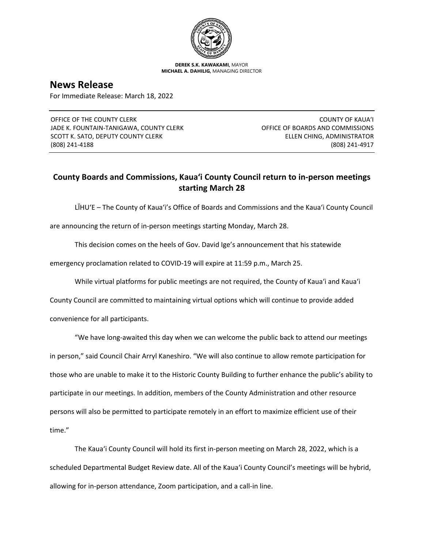

**DEREK S.K. KAWAKAMI,** MAYOR **MICHAEL A. DAHILIG,** MANAGING DIRECTOR

**News Release**

For Immediate Release: March 18, 2022

OFFICE OF THE COUNTY CLERK JADE K. FOUNTAIN-TANIGAWA, COUNTY CLERK SCOTT K. SATO, DEPUTY COUNTY CLERK (808) 241-4188

COUNTY OF KAUA'I OFFICE OF BOARDS AND COMMISSIONS ELLEN CHING, ADMINISTRATOR (808) 241-4917

## **County Boards and Commissions, Kaua'i County Council return to in-person meetings starting March 28**

LĪHU'E – The County of Kaua'i's Office of Boards and Commissions and the Kaua'i County Council

are announcing the return of in-person meetings starting Monday, March 28.

This decision comes on the heels of Gov. David Ige's announcement that his statewide

emergency proclamation related to COVID-19 will expire at 11:59 p.m., March 25.

While virtual platforms for public meetings are not required, the County of Kaua'i and Kaua'i

County Council are committed to maintaining virtual options which will continue to provide added

convenience for all participants.

"We have long-awaited this day when we can welcome the public back to attend our meetings in person," said Council Chair Arryl Kaneshiro. "We will also continue to allow remote participation for those who are unable to make it to the Historic County Building to further enhance the public's ability to participate in our meetings. In addition, members of the County Administration and other resource persons will also be permitted to participate remotely in an effort to maximize efficient use of their time."

The Kaua'i County Council will hold its first in-person meeting on March 28, 2022, which is a scheduled Departmental Budget Review date. All of the Kaua'i County Council's meetings will be hybrid, allowing for in-person attendance, Zoom participation, and a call-in line.